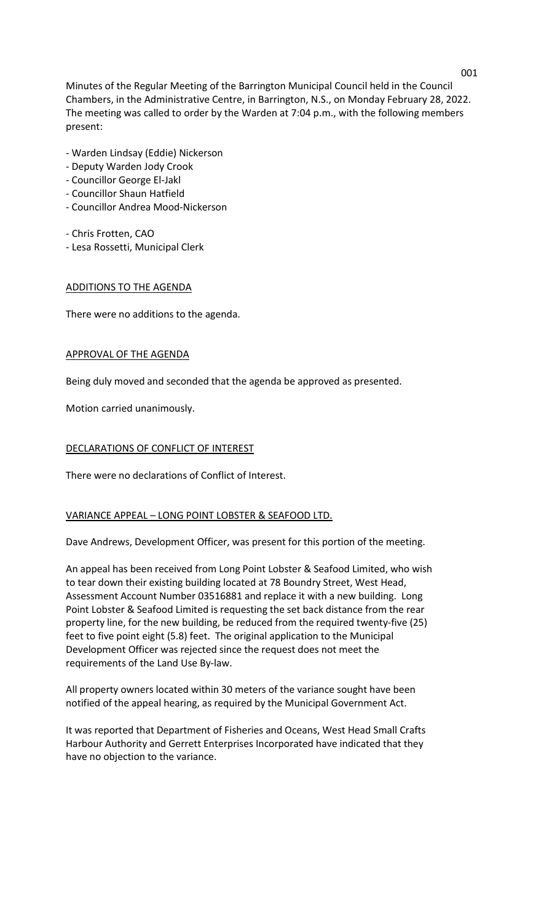Minutes of the Regular Meeting of the Barrington Municipal Council held in the Council Chambers, in the Administrative Centre, in Barrington, N.S., on Monday February 28, 2022. The meeting was called to order by the Warden at 7:04 p.m., with the following members present:

- Warden Lindsay (Eddie) Nickerson
- Deputy Warden Jody Crook
- Councillor George El-Jakl
- Councillor Shaun Hatfield
- Councillor Andrea Mood-Nickerson
- Chris Frotten, CAO
- Lesa Rossetti, Municipal Clerk

# ADDITIONS TO THE AGENDA

There were no additions to the agenda.

# APPROVAL OF THE AGENDA

Being duly moved and seconded that the agenda be approved as presented.

Motion carried unanimously.

# DECLARATIONS OF CONFLICT OF INTEREST

There were no declarations of Conflict of Interest.

# VARIANCE APPEAL – LONG POINT LOBSTER & SEAFOOD LTD.

Dave Andrews, Development Officer, was present for this portion of the meeting.

An appeal has been received from Long Point Lobster & Seafood Limited, who wish to tear down their existing building located at 78 Boundry Street, West Head, Assessment Account Number 03516881 and replace it with a new building. Long Point Lobster & Seafood Limited is requesting the set back distance from the rear property line, for the new building, be reduced from the required twenty-five (25) feet to five point eight (5.8) feet. The original application to the Municipal Development Officer was rejected since the request does not meet the requirements of the Land Use By-law.

All property owners located within 30 meters of the variance sought have been notified of the appeal hearing, as required by the Municipal Government Act.

It was reported that Department of Fisheries and Oceans, West Head Small Crafts Harbour Authority and Gerrett Enterprises Incorporated have indicated that they have no objection to the variance.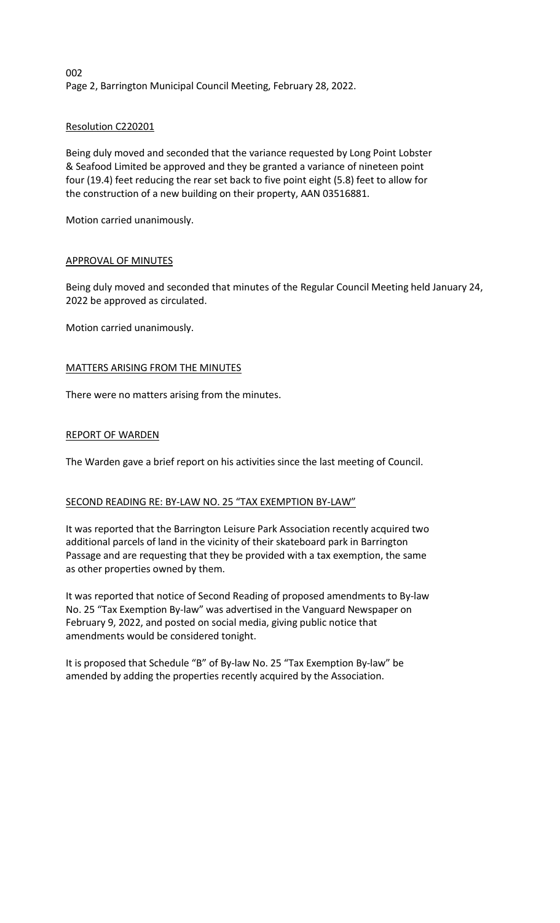002 Page 2, Barrington Municipal Council Meeting, February 28, 2022.

# Resolution C220201

Being duly moved and seconded that the variance requested by Long Point Lobster & Seafood Limited be approved and they be granted a variance of nineteen point four (19.4) feet reducing the rear set back to five point eight (5.8) feet to allow for the construction of a new building on their property, AAN 03516881.

Motion carried unanimously.

# APPROVAL OF MINUTES

Being duly moved and seconded that minutes of the Regular Council Meeting held January 24, 2022 be approved as circulated.

Motion carried unanimously.

# MATTERS ARISING FROM THE MINUTES

There were no matters arising from the minutes.

# REPORT OF WARDEN

The Warden gave a brief report on his activities since the last meeting of Council.

## SECOND READING RE: BY-LAW NO. 25 "TAX EXEMPTION BY-LAW"

It was reported that the Barrington Leisure Park Association recently acquired two additional parcels of land in the vicinity of their skateboard park in Barrington Passage and are requesting that they be provided with a tax exemption, the same as other properties owned by them.

It was reported that notice of Second Reading of proposed amendments to By-law No. 25 "Tax Exemption By-law" was advertised in the Vanguard Newspaper on February 9, 2022, and posted on social media, giving public notice that amendments would be considered tonight.

It is proposed that Schedule "B" of By-law No. 25 "Tax Exemption By-law" be amended by adding the properties recently acquired by the Association.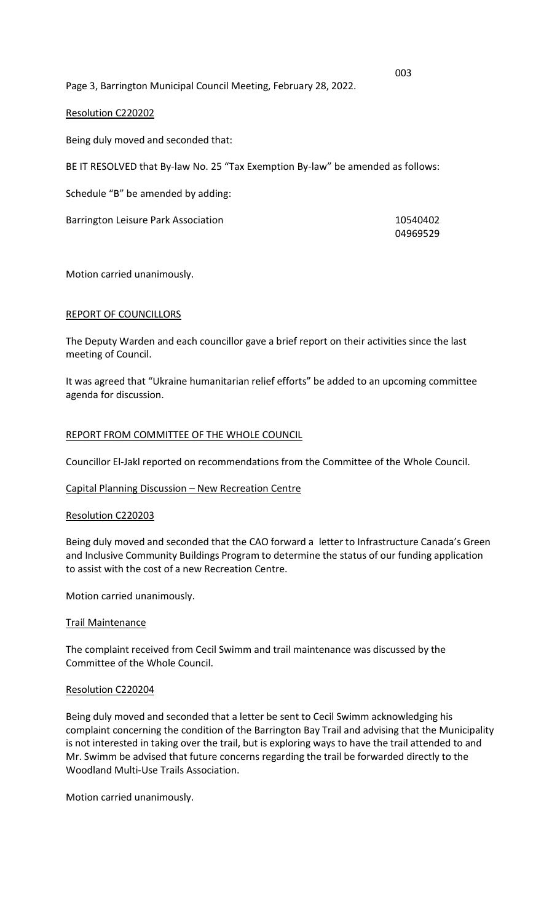Page 3, Barrington Municipal Council Meeting, February 28, 2022.

## Resolution C220202

Being duly moved and seconded that:

BE IT RESOLVED that By-law No. 25 "Tax Exemption By-law" be amended as follows:

Schedule "B" be amended by adding:

Barrington Leisure Park Association 10540402

04969529

Motion carried unanimously.

### REPORT OF COUNCILLORS

The Deputy Warden and each councillor gave a brief report on their activities since the last meeting of Council.

It was agreed that "Ukraine humanitarian relief efforts" be added to an upcoming committee agenda for discussion.

### REPORT FROM COMMITTEE OF THE WHOLE COUNCIL

Councillor El-Jakl reported on recommendations from the Committee of the Whole Council.

#### Capital Planning Discussion – New Recreation Centre

### Resolution C220203

Being duly moved and seconded that the CAO forward a letter to Infrastructure Canada's Green and Inclusive Community Buildings Program to determine the status of our funding application to assist with the cost of a new Recreation Centre.

Motion carried unanimously.

#### Trail Maintenance

The complaint received from Cecil Swimm and trail maintenance was discussed by the Committee of the Whole Council.

#### Resolution C220204

Being duly moved and seconded that a letter be sent to Cecil Swimm acknowledging his complaint concerning the condition of the Barrington Bay Trail and advising that the Municipality is not interested in taking over the trail, but is exploring ways to have the trail attended to and Mr. Swimm be advised that future concerns regarding the trail be forwarded directly to the Woodland Multi-Use Trails Association.

Motion carried unanimously.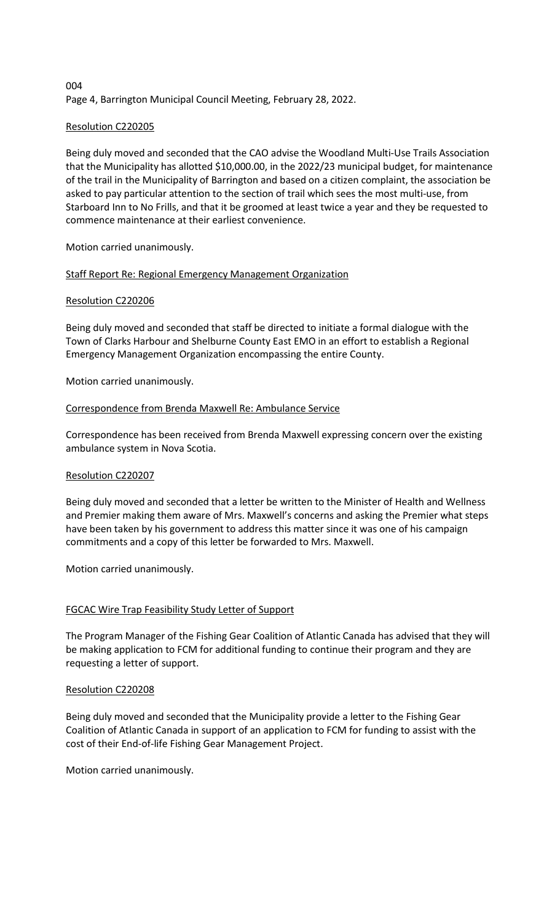# 004 Page 4, Barrington Municipal Council Meeting, February 28, 2022.

# Resolution C220205

Being duly moved and seconded that the CAO advise the Woodland Multi-Use Trails Association that the Municipality has allotted \$10,000.00, in the 2022/23 municipal budget, for maintenance of the trail in the Municipality of Barrington and based on a citizen complaint, the association be asked to pay particular attention to the section of trail which sees the most multi-use, from Starboard Inn to No Frills, and that it be groomed at least twice a year and they be requested to commence maintenance at their earliest convenience.

Motion carried unanimously.

# Staff Report Re: Regional Emergency Management Organization

## Resolution C220206

Being duly moved and seconded that staff be directed to initiate a formal dialogue with the Town of Clarks Harbour and Shelburne County East EMO in an effort to establish a Regional Emergency Management Organization encompassing the entire County.

Motion carried unanimously.

## Correspondence from Brenda Maxwell Re: Ambulance Service

Correspondence has been received from Brenda Maxwell expressing concern over the existing ambulance system in Nova Scotia.

## Resolution C220207

Being duly moved and seconded that a letter be written to the Minister of Health and Wellness and Premier making them aware of Mrs. Maxwell's concerns and asking the Premier what steps have been taken by his government to address this matter since it was one of his campaign commitments and a copy of this letter be forwarded to Mrs. Maxwell.

Motion carried unanimously.

## FGCAC Wire Trap Feasibility Study Letter of Support

The Program Manager of the Fishing Gear Coalition of Atlantic Canada has advised that they will be making application to FCM for additional funding to continue their program and they are requesting a letter of support.

## Resolution C220208

Being duly moved and seconded that the Municipality provide a letter to the Fishing Gear Coalition of Atlantic Canada in support of an application to FCM for funding to assist with the cost of their End-of-life Fishing Gear Management Project.

Motion carried unanimously.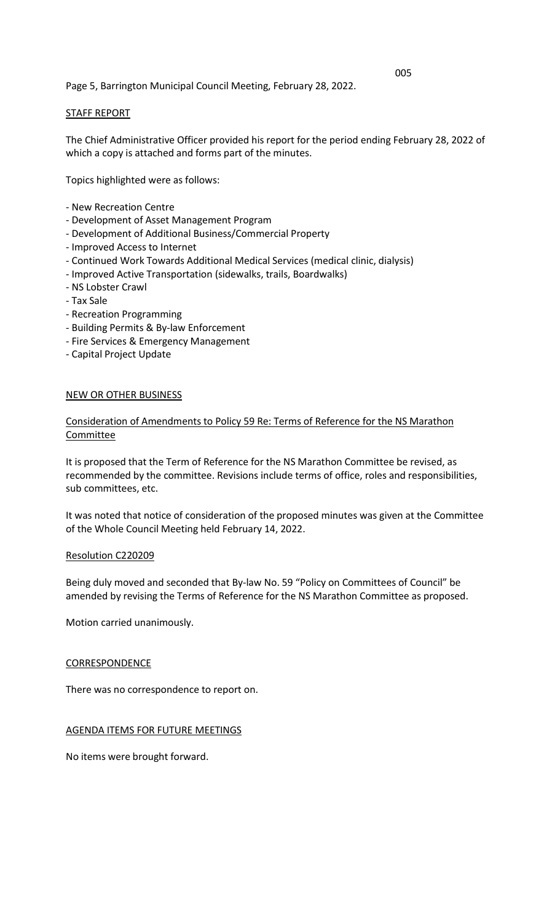# Page 5, Barrington Municipal Council Meeting, February 28, 2022.

## STAFF REPORT

The Chief Administrative Officer provided his report for the period ending February 28, 2022 of which a copy is attached and forms part of the minutes.

Topics highlighted were as follows:

- New Recreation Centre
- Development of Asset Management Program
- Development of Additional Business/Commercial Property
- Improved Access to Internet
- Continued Work Towards Additional Medical Services (medical clinic, dialysis)
- Improved Active Transportation (sidewalks, trails, Boardwalks)
- NS Lobster Crawl
- Tax Sale
- Recreation Programming
- Building Permits & By-law Enforcement
- Fire Services & Emergency Management
- Capital Project Update

### NEW OR OTHER BUSINESS

# Consideration of Amendments to Policy 59 Re: Terms of Reference for the NS Marathon **Committee**

It is proposed that the Term of Reference for the NS Marathon Committee be revised, as recommended by the committee. Revisions include terms of office, roles and responsibilities, sub committees, etc.

It was noted that notice of consideration of the proposed minutes was given at the Committee of the Whole Council Meeting held February 14, 2022.

#### Resolution C220209

Being duly moved and seconded that By-law No. 59 "Policy on Committees of Council" be amended by revising the Terms of Reference for the NS Marathon Committee as proposed.

Motion carried unanimously.

#### **CORRESPONDENCE**

There was no correspondence to report on.

AGENDA ITEMS FOR FUTURE MEETINGS

No items were brought forward.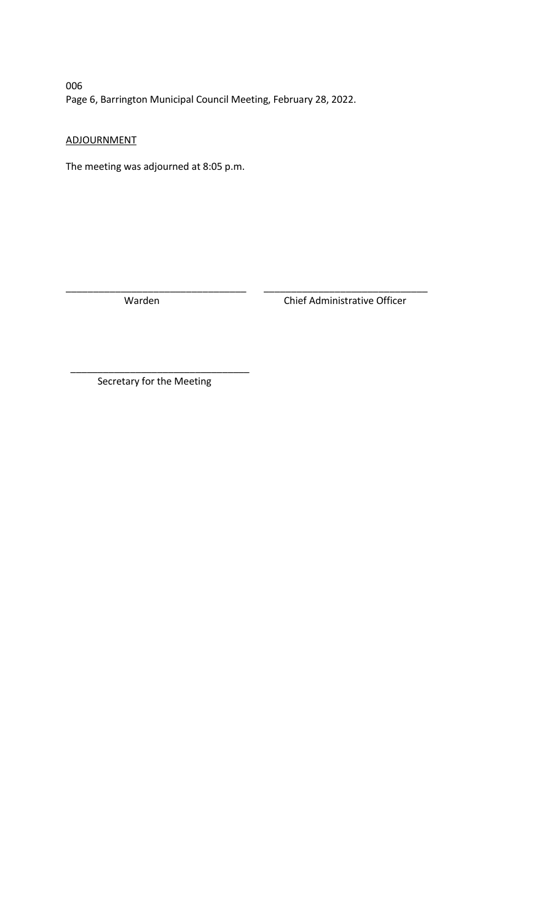006 Page 6, Barrington Municipal Council Meeting, February 28, 2022.

\_\_\_\_\_\_\_\_\_\_\_\_\_\_\_\_\_\_\_\_\_\_\_\_\_\_\_\_\_\_\_\_\_ \_\_\_\_\_\_\_\_\_\_\_\_\_\_\_\_\_\_\_\_\_\_\_\_\_\_\_\_\_\_

ADJOURNMENT

The meeting was adjourned at 8:05 p.m.

Warden Chief Administrative Officer

\_\_\_\_\_\_\_\_\_\_\_\_\_\_\_\_\_\_\_\_\_\_\_\_\_\_\_\_\_\_\_\_\_ Secretary for the Meeting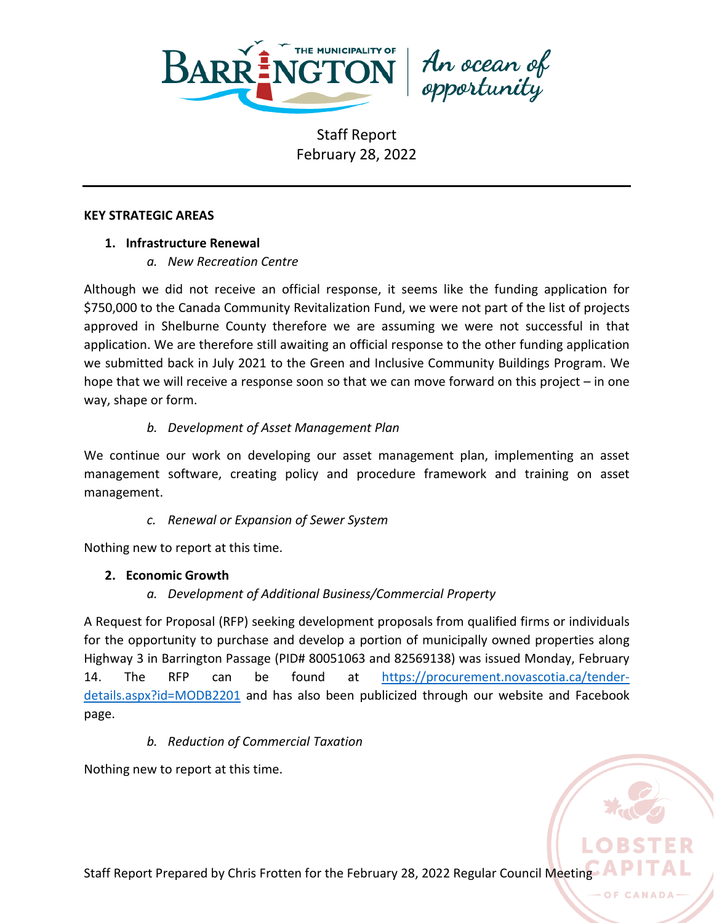

An ocean of<br>opportunity

### **KEY STRATEGIC AREAS**

# **1. Infrastructure Renewal**

*a. New Recreation Centre*

Although we did not receive an official response, it seems like the funding application for \$750,000 to the Canada Community Revitalization Fund, we were not part of the list of projects approved in Shelburne County therefore we are assuming we were not successful in that application. We are therefore still awaiting an official response to the other funding application we submitted back in July 2021 to the Green and Inclusive Community Buildings Program. We hope that we will receive a response soon so that we can move forward on this project – in one way, shape or form.

# *b. Development of Asset Management Plan*

We continue our work on developing our asset management plan, implementing an asset management software, creating policy and procedure framework and training on asset management.

# *c. Renewal or Expansion of Sewer System*

Nothing new to report at this time.

# **2. Economic Growth**

*a. Development of Additional Business/Commercial Property*

A Request for Proposal (RFP) seeking development proposals from qualified firms or individuals for the opportunity to purchase and develop a portion of municipally owned properties along Highway 3 in Barrington Passage (PID# 80051063 and 82569138) was issued Monday, February 14. The RFP can be found at [https://procurement.novascotia.ca/tender](https://procurement.novascotia.ca/tender-details.aspx?id=MODB2201)[details.aspx?id=MODB2201](https://procurement.novascotia.ca/tender-details.aspx?id=MODB2201) and has also been publicized through our website and Facebook page.

# *b. Reduction of Commercial Taxation*

Nothing new to report at this time.

Staff Report Prepared by Chris Frotten for the February 28, 2022 Regular Council Meeting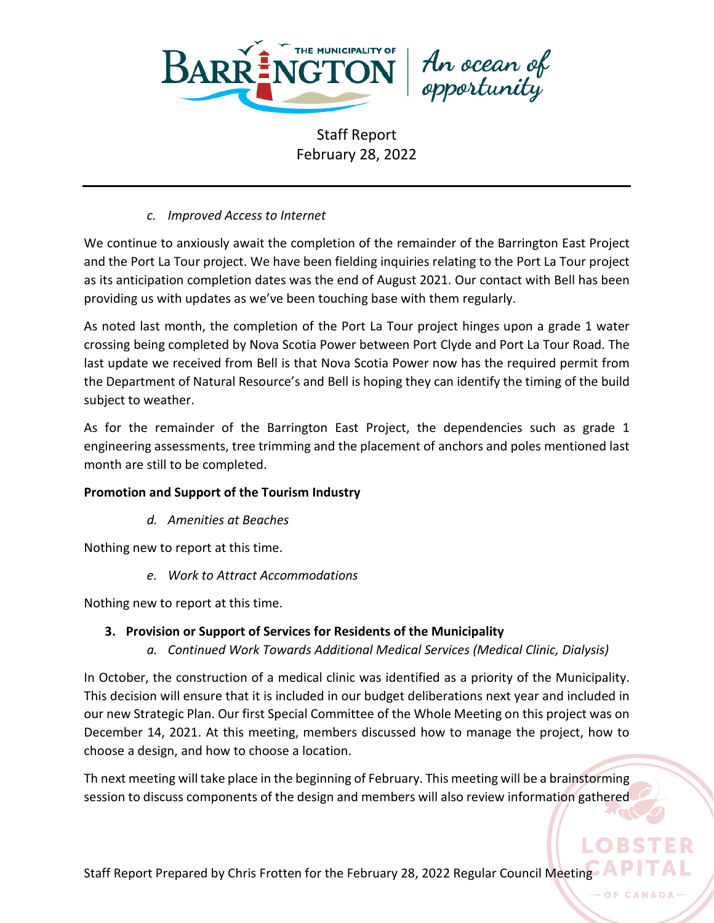

An ocean of<br>opportunity

# *c. Improved Access to Internet*

We continue to anxiously await the completion of the remainder of the Barrington East Project and the Port La Tour project. We have been fielding inquiries relating to the Port La Tour project as its anticipation completion dates was the end of August 2021. Our contact with Bell has been providing us with updates as we've been touching base with them regularly.

As noted last month, the completion of the Port La Tour project hinges upon a grade 1 water crossing being completed by Nova Scotia Power between Port Clyde and Port La Tour Road. The last update we received from Bell is that Nova Scotia Power now has the required permit from the Department of Natural Resource's and Bell is hoping they can identify the timing of the build subject to weather.

As for the remainder of the Barrington East Project, the dependencies such as grade 1 engineering assessments, tree trimming and the placement of anchors and poles mentioned last month are still to be completed.

# **Promotion and Support of the Tourism Industry**

*d. Amenities at Beaches*

Nothing new to report at this time.

*e. Work to Attract Accommodations*

Nothing new to report at this time.

# **3. Provision or Support of Services for Residents of the Municipality**

*a. Continued Work Towards Additional Medical Services (Medical Clinic, Dialysis)*

In October, the construction of a medical clinic was identified as a priority of the Municipality. This decision will ensure that it is included in our budget deliberations next year and included in our new Strategic Plan. Our first Special Committee of the Whole Meeting on this project was on December 14, 2021. At this meeting, members discussed how to manage the project, how to choose a design, and how to choose a location.

Th next meeting will take place in the beginning of February. This meeting will be a brainstorming session to discuss components of the design and members will also review information gathered

Staff Report Prepared by Chris Frotten for the February 28, 2022 Regular Council Meeting

OF CANADA

**ORST**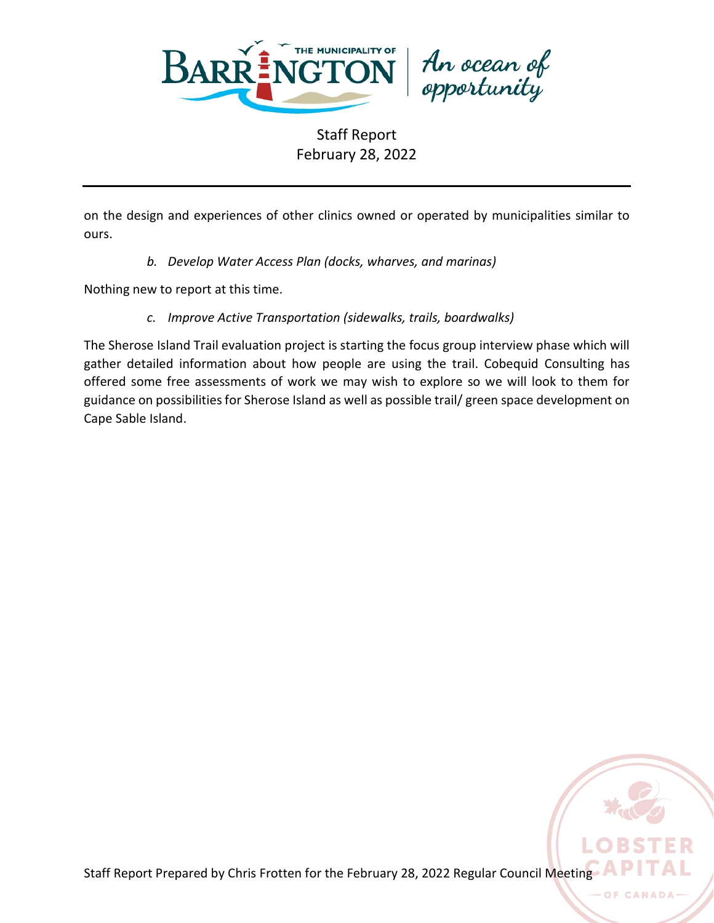

An ocean of<br>opportunity

Staff Report February 28, 2022

on the design and experiences of other clinics owned or operated by municipalities similar to ours.

*b. Develop Water Access Plan (docks, wharves, and marinas)*

Nothing new to report at this time.

*c. Improve Active Transportation (sidewalks, trails, boardwalks)*

The Sherose Island Trail evaluation project is starting the focus group interview phase which will gather detailed information about how people are using the trail. Cobequid Consulting has offered some free assessments of work we may wish to explore so we will look to them for guidance on possibilities for Sherose Island as well as possible trail/ green space development on Cape Sable Island.



OF CAN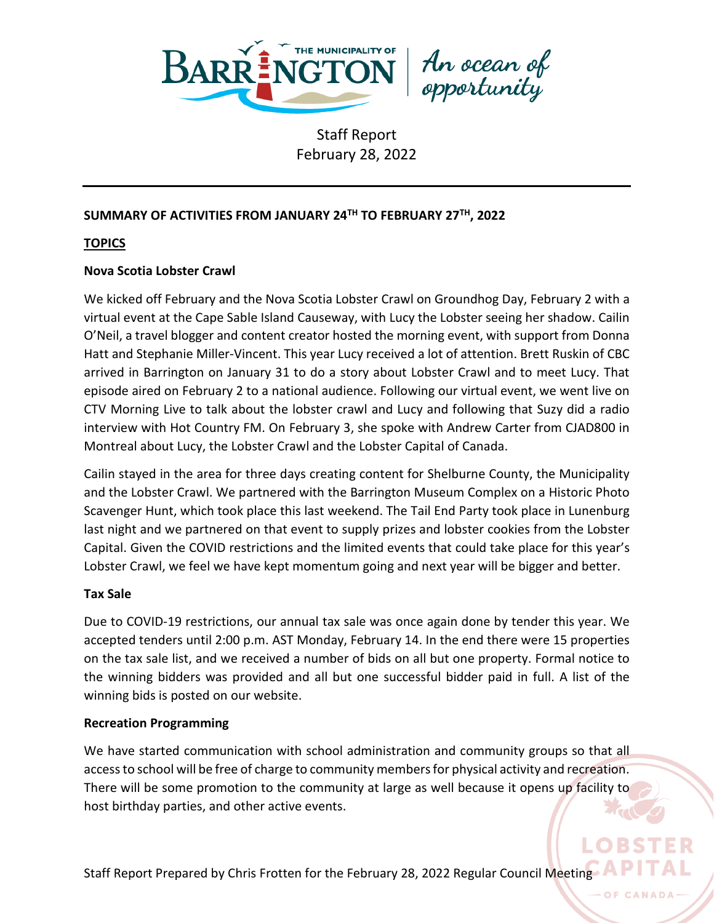

An ocean of<br>opportunity

# **SUMMARY OF ACTIVITIES FROM JANUARY 24TH TO FEBRUARY 27TH, 2022**

## **TOPICS**

## **Nova Scotia Lobster Crawl**

We kicked off February and the Nova Scotia Lobster Crawl on Groundhog Day, February 2 with a virtual event at the Cape Sable Island Causeway, with Lucy the Lobster seeing her shadow. Cailin O'Neil, a travel blogger and content creator hosted the morning event, with support from Donna Hatt and Stephanie Miller-Vincent. This year Lucy received a lot of attention. Brett Ruskin of CBC arrived in Barrington on January 31 to do a story about Lobster Crawl and to meet Lucy. That episode aired on February 2 to a national audience. Following our virtual event, we went live on CTV Morning Live to talk about the lobster crawl and Lucy and following that Suzy did a radio interview with Hot Country FM. On February 3, she spoke with Andrew Carter from CJAD800 in Montreal about Lucy, the Lobster Crawl and the Lobster Capital of Canada.

Cailin stayed in the area for three days creating content for Shelburne County, the Municipality and the Lobster Crawl. We partnered with the Barrington Museum Complex on a Historic Photo Scavenger Hunt, which took place this last weekend. The Tail End Party took place in Lunenburg last night and we partnered on that event to supply prizes and lobster cookies from the Lobster Capital. Given the COVID restrictions and the limited events that could take place for this year's Lobster Crawl, we feel we have kept momentum going and next year will be bigger and better.

### **Tax Sale**

Due to COVID-19 restrictions, our annual tax sale was once again done by tender this year. We accepted tenders until 2:00 p.m. AST Monday, February 14. In the end there were 15 properties on the tax sale list, and we received a number of bids on all but one property. Formal notice to the winning bidders was provided and all but one successful bidder paid in full. A list of the winning bids is posted on our website.

### **Recreation Programming**

We have started communication with school administration and community groups so that all access to school will be free of charge to community members for physical activity and recreation. There will be some promotion to the community at large as well because it opens up facility to host birthday parties, and other active events.

**OF CANADA**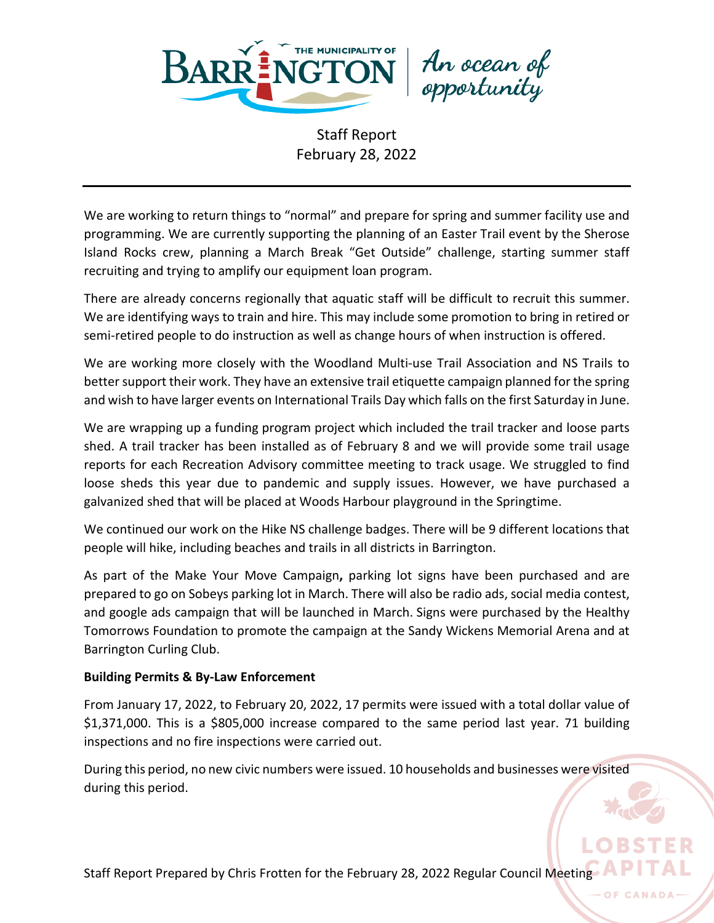

An ocean of<br>opportunity

We are working to return things to "normal" and prepare for spring and summer facility use and programming. We are currently supporting the planning of an Easter Trail event by the Sherose Island Rocks crew, planning a March Break "Get Outside" challenge, starting summer staff recruiting and trying to amplify our equipment loan program.

There are already concerns regionally that aquatic staff will be difficult to recruit this summer. We are identifying ways to train and hire. This may include some promotion to bring in retired or semi-retired people to do instruction as well as change hours of when instruction is offered.

We are working more closely with the Woodland Multi-use Trail Association and NS Trails to better support their work. They have an extensive trail etiquette campaign planned for the spring and wish to have larger events on International Trails Day which falls on the first Saturday in June.

We are wrapping up a funding program project which included the trail tracker and loose parts shed. A trail tracker has been installed as of February 8 and we will provide some trail usage reports for each Recreation Advisory committee meeting to track usage. We struggled to find loose sheds this year due to pandemic and supply issues. However, we have purchased a galvanized shed that will be placed at Woods Harbour playground in the Springtime.

We continued our work on the Hike NS challenge badges. There will be 9 different locations that people will hike, including beaches and trails in all districts in Barrington.

As part of the Make Your Move Campaign**,** parking lot signs have been purchased and are prepared to go on Sobeys parking lot in March. There will also be radio ads, social media contest, and google ads campaign that will be launched in March. Signs were purchased by the Healthy Tomorrows Foundation to promote the campaign at the Sandy Wickens Memorial Arena and at Barrington Curling Club.

# **Building Permits & By-Law Enforcement**

From January 17, 2022, to February 20, 2022, 17 permits were issued with a total dollar value of \$1,371,000. This is a \$805,000 increase compared to the same period last year. 71 building inspections and no fire inspections were carried out.

During this period, no new civic numbers were issued. 10 households and businesses were visited during this period.

Staff Report Prepared by Chris Frotten for the February 28, 2022 Regular Council Meeting

**OF CANADA**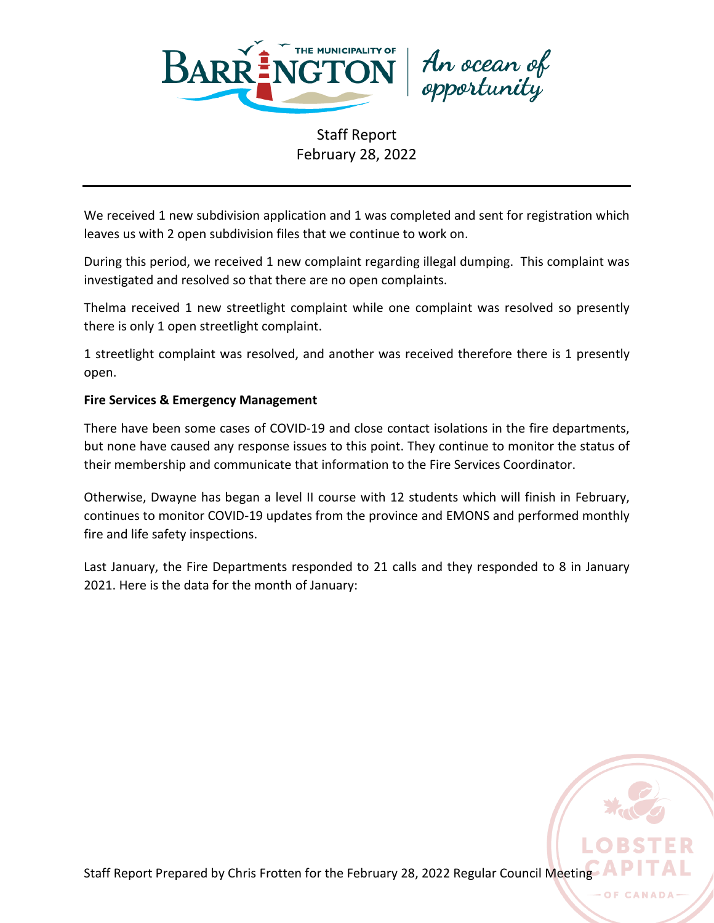

An ocean of<br>opportunity

We received 1 new subdivision application and 1 was completed and sent for registration which leaves us with 2 open subdivision files that we continue to work on.

During this period, we received 1 new complaint regarding illegal dumping. This complaint was investigated and resolved so that there are no open complaints.

Thelma received 1 new streetlight complaint while one complaint was resolved so presently there is only 1 open streetlight complaint.

1 streetlight complaint was resolved, and another was received therefore there is 1 presently open.

# **Fire Services & Emergency Management**

There have been some cases of COVID-19 and close contact isolations in the fire departments, but none have caused any response issues to this point. They continue to monitor the status of their membership and communicate that information to the Fire Services Coordinator.

Otherwise, Dwayne has began a level II course with 12 students which will finish in February, continues to monitor COVID-19 updates from the province and EMONS and performed monthly fire and life safety inspections.

Last January, the Fire Departments responded to 21 calls and they responded to 8 in January 2021. Here is the data for the month of January:

Staff Report Prepared by Chris Frotten for the February 28, 2022 Regular Council Meeting

OF CANA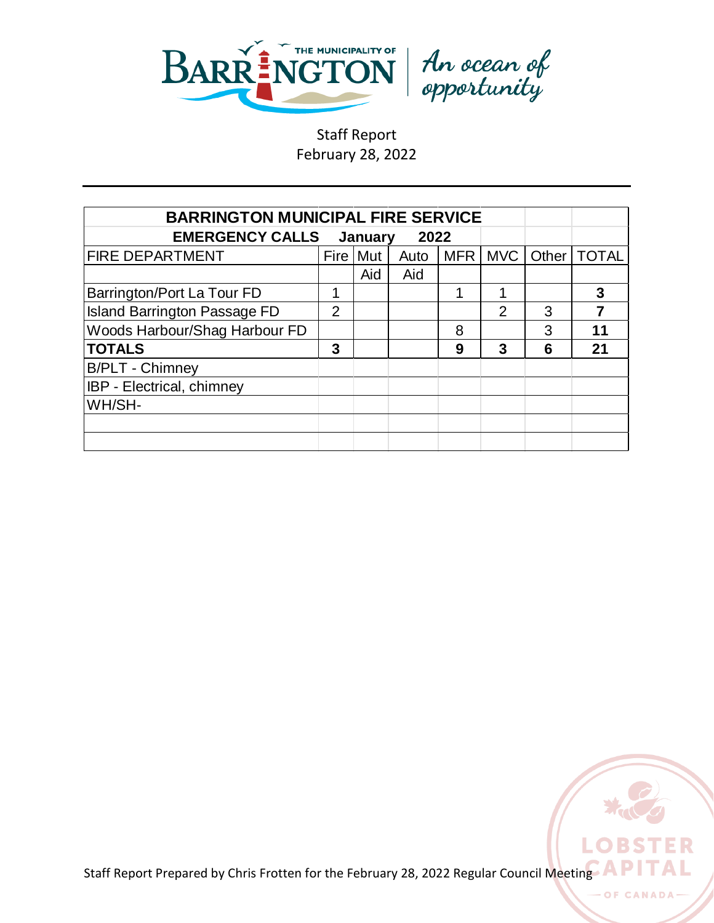



| <b>BARRINGTON MUNICIPAL FIRE SERVICE</b>  |                |            |      |            |               |       |              |
|-------------------------------------------|----------------|------------|------|------------|---------------|-------|--------------|
| <b>EMERGENCY CALLS</b><br>2022<br>January |                |            |      |            |               |       |              |
| <b>FIRE DEPARTMENT</b>                    |                | Fire   Mut | Auto | <b>MFR</b> | l MVC l       | Other | <b>TOTAL</b> |
|                                           |                | Aid        | Aid  |            |               |       |              |
| Barrington/Port La Tour FD                | 1              |            |      |            |               |       | 3            |
| <b>Island Barrington Passage FD</b>       | $\overline{2}$ |            |      |            | $\mathcal{P}$ | 3     | 7            |
| Woods Harbour/Shag Harbour FD             |                |            |      | 8          |               | 3     | 11           |
| <b>TOTALS</b>                             | 3              |            |      | 9          | 3             | 6     | 21           |
| <b>B/PLT - Chimney</b>                    |                |            |      |            |               |       |              |
| IBP - Electrical, chimney                 |                |            |      |            |               |       |              |
| WH/SH-                                    |                |            |      |            |               |       |              |
|                                           |                |            |      |            |               |       |              |
|                                           |                |            |      |            |               |       |              |



**OF CANA**